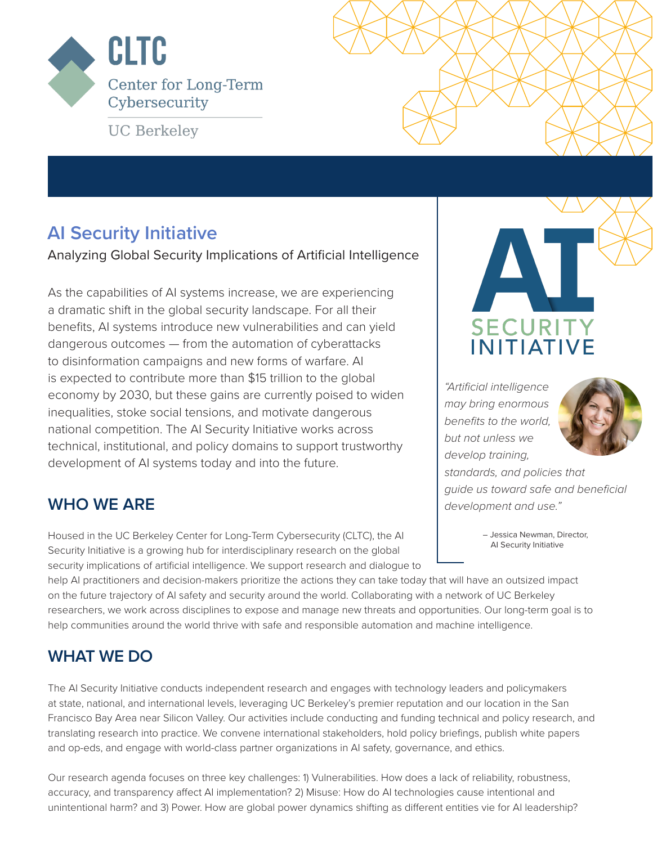

**UC Berkeley** 

## **AI Security Initiative**

Analyzing Global Security Implications of Artificial Intelligence

As the capabilities of AI systems increase, we are experiencing a dramatic shift in the global security landscape. For all their benefits, AI systems introduce new vulnerabilities and can yield dangerous outcomes — from the automation of cyberattacks to disinformation campaigns and new forms of warfare. AI is expected to contribute more than \$15 trillion to the global economy by 2030, but these gains are currently poised to widen inequalities, stoke social tensions, and motivate dangerous national competition. The AI Security Initiative works across technical, institutional, and policy domains to support trustworthy development of AI systems today and into the future.

### **WHO WE ARE**

Housed in the UC Berkeley Center for Long-Term Cybersecurity (CLTC), the AI Security Initiative is a growing hub for interdisciplinary research on the global security implications of artificial intelligence. We support research and dialogue to



*"Artificial intelligence may bring enormous benefits to the world, but not unless we develop training,* 



*standards, and policies that guide us toward safe and beneficial development and use."* 

> – Jessica Newman, Director, AI Security Initiative

help AI practitioners and decision-makers prioritize the actions they can take today that will have an outsized impact on the future trajectory of AI safety and security around the world. Collaborating with a network of UC Berkeley researchers, we work across disciplines to expose and manage new threats and opportunities. Our long-term goal is to help communities around the world thrive with safe and responsible automation and machine intelligence.

### **WHAT WE DO**

The AI Security Initiative conducts independent research and engages with technology leaders and policymakers at state, national, and international levels, leveraging UC Berkeley's premier reputation and our location in the San Francisco Bay Area near Silicon Valley. Our activities include conducting and funding technical and policy research, and translating research into practice. We convene international stakeholders, hold policy briefings, publish white papers and op-eds, and engage with world-class partner organizations in AI safety, governance, and ethics.

Our research agenda focuses on three key challenges: 1) Vulnerabilities. How does a lack of reliability, robustness, accuracy, and transparency affect AI implementation? 2) Misuse: How do AI technologies cause intentional and unintentional harm? and 3) Power. How are global power dynamics shifting as different entities vie for AI leadership?